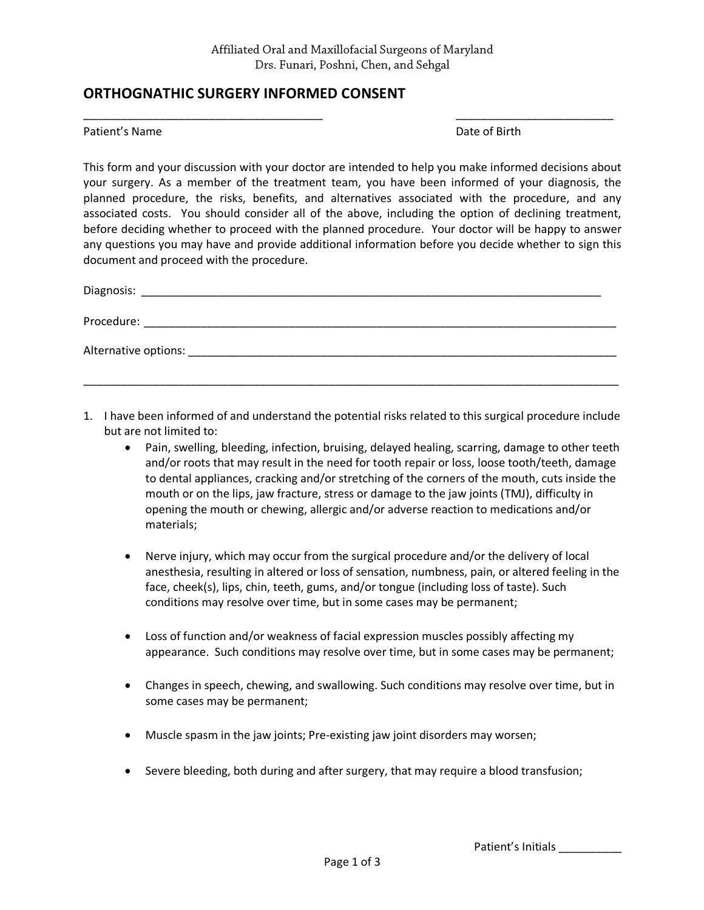\_\_\_\_\_\_\_\_\_\_\_\_\_\_\_\_\_\_\_\_\_\_\_\_\_\_\_\_\_\_\_\_\_\_\_\_\_\_ \_\_\_\_\_\_\_\_\_\_\_\_\_\_\_\_\_\_\_\_\_\_\_\_\_

## **ORTHOGNATHIC SURGERY INFORMED CONSENT**

## Patient's Name **Date of Birth**

This form and your discussion with your doctor are intended to help you make informed decisions about your surgery. As a member of the treatment team, you have been informed of your diagnosis, the planned procedure, the risks, benefits, and alternatives associated with the procedure, and any associated costs. You should consider all of the above, including the option of declining treatment, before deciding whether to proceed with the planned procedure. Your doctor will be happy to answer any questions you may have and provide additional information before you decide whether to sign this document and proceed with the procedure.

| Diagnosis: ___           |
|--------------------------|
| Procedure:               |
| Alternative options: ___ |
|                          |

- 1. I have been informed of and understand the potential risks related to this surgical procedure include but are not limited to:
	- Pain, swelling, bleeding, infection, bruising, delayed healing, scarring, damage to other teeth and/or roots that may result in the need for tooth repair or loss, loose tooth/teeth, damage to dental appliances, cracking and/or stretching of the corners of the mouth, cuts inside the mouth or on the lips, jaw fracture, stress or damage to the jaw joints (TMJ), difficulty in opening the mouth or chewing, allergic and/or adverse reaction to medications and/or materials;
	- Nerve injury, which may occur from the surgical procedure and/or the delivery of local anesthesia, resulting in altered or loss of sensation, numbness, pain, or altered feeling in the face, cheek(s), lips, chin, teeth, gums, and/or tongue (including loss of taste). Such conditions may resolve over time, but in some cases may be permanent;
	- Loss of function and/or weakness of facial expression muscles possibly affecting my appearance. Such conditions may resolve over time, but in some cases may be permanent;
	- Changes in speech, chewing, and swallowing. Such conditions may resolve over time, but in some cases may be permanent;
	- Muscle spasm in the jaw joints; Pre-existing jaw joint disorders may worsen;
	- Severe bleeding, both during and after surgery, that may require a blood transfusion;

Patient's Initials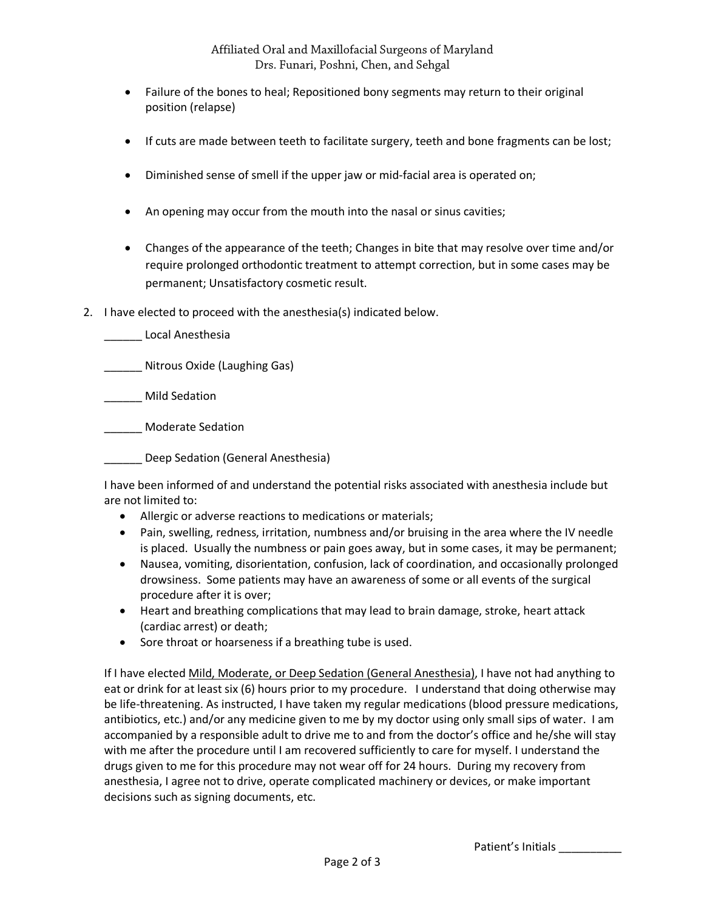- Failure of the bones to heal; Repositioned bony segments may return to their original position (relapse)
- If cuts are made between teeth to facilitate surgery, teeth and bone fragments can be lost;
- Diminished sense of smell if the upper jaw or mid-facial area is operated on;
- An opening may occur from the mouth into the nasal or sinus cavities;
- Changes of the appearance of the teeth; Changes in bite that may resolve over time and/or require prolonged orthodontic treatment to attempt correction, but in some cases may be permanent; Unsatisfactory cosmetic result.
- 2. I have elected to proceed with the anesthesia(s) indicated below.
	- \_\_\_\_\_\_ Local Anesthesia
	- \_\_\_\_\_\_ Nitrous Oxide (Laughing Gas)

\_\_\_\_\_\_ Mild Sedation

\_\_\_\_\_\_ Moderate Sedation

\_\_\_\_\_\_ Deep Sedation (General Anesthesia)

I have been informed of and understand the potential risks associated with anesthesia include but are not limited to:

- Allergic or adverse reactions to medications or materials;
- Pain, swelling, redness, irritation, numbness and/or bruising in the area where the IV needle is placed. Usually the numbness or pain goes away, but in some cases, it may be permanent;
- Nausea, vomiting, disorientation, confusion, lack of coordination, and occasionally prolonged drowsiness. Some patients may have an awareness of some or all events of the surgical procedure after it is over;
- Heart and breathing complications that may lead to brain damage, stroke, heart attack (cardiac arrest) or death;
- Sore throat or hoarseness if a breathing tube is used.

If I have elected Mild, Moderate, or Deep Sedation (General Anesthesia), I have not had anything to eat or drink for at least six (6) hours prior to my procedure. I understand that doing otherwise may be life-threatening. As instructed, I have taken my regular medications (blood pressure medications, antibiotics, etc.) and/or any medicine given to me by my doctor using only small sips of water. I am accompanied by a responsible adult to drive me to and from the doctor's office and he/she will stay with me after the procedure until I am recovered sufficiently to care for myself. I understand the drugs given to me for this procedure may not wear off for 24 hours. During my recovery from anesthesia, I agree not to drive, operate complicated machinery or devices, or make important decisions such as signing documents, etc.

Patient's Initials